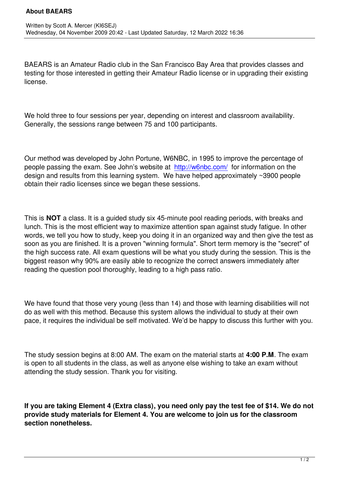BAEARS is an Amateur Radio club in the San Francisco Bay Area that provides classes and testing for those interested in getting their Amateur Radio license or in upgrading their existing license.

We hold three to four sessions per year, depending on interest and classroom availability. Generally, the sessions range between 75 and 100 participants.

Our method was developed by John Portune, W6NBC, in 1995 to improve the percentage of people passing the exam. See John's website at http://w6nbc.com/ for information on the design and results from this learning system. We have helped approximately ~3900 people obtain their radio licenses since we began these sessions.

This is **NOT** a class. It is a guided study six 45-minute pool reading periods, with breaks and lunch. This is the most efficient way to maximize attention span against study fatigue. In other words, we tell you how to study, keep you doing it in an organized way and then give the test as soon as you are finished. It is a proven "winning formula". Short term memory is the "secret" of the high success rate. All exam questions will be what you study during the session. This is the biggest reason why 90% are easily able to recognize the correct answers immediately after reading the question pool thoroughly, leading to a high pass ratio.

We have found that those very young (less than 14) and those with learning disabilities will not do as well with this method. Because this system allows the individual to study at their own pace, it requires the individual be self motivated. We'd be happy to discuss this further with you.

The study session begins at 8:00 AM. The exam on the material starts at **4:00 P.M**. The exam is open to all students in the class, as well as anyone else wishing to take an exam without attending the study session. Thank you for visiting.

**If you are taking Element 4 (Extra class), you need only pay the test fee of \$14. We do not provide study materials for Element 4. You are welcome to join us for the classroom section nonetheless.**